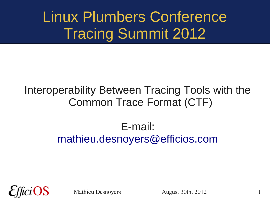# Linux Plumbers Conference Tracing Summit 2012

#### Interoperability Between Tracing Tools with the Common Trace Format (CTF)

#### E-mail: [mathieu.desnoyers@efficios.com](mailto:mathieu.desnoyers@efficios.com)

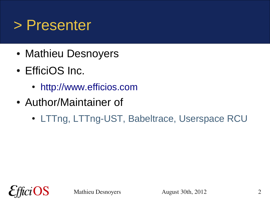#### > Presenter

- Mathieu Desnoyers
- EfficiOS Inc.
	- [http://www.efficios.com](http://www.efficios.com/)
- Author/Maintainer of
	- LTTng, LTTng-UST, Babeltrace, Userspace RCU

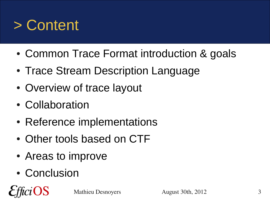

- Common Trace Format introduction & goals
- Trace Stream Description Language
- Overview of trace layout
- Collaboration
- Reference implementations
- Other tools based on CTF
- Areas to improve
- Conclusion

OS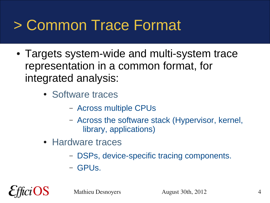### > Common Trace Format

- Targets system-wide and multi-system trace representation in a common format, for integrated analysis:
	- Software traces
		- Across multiple CPUs
		- Across the software stack (Hypervisor, kernel, library, applications)
	- Hardware traces
		- DSPs, device-specific tracing components.
		- GPUs.

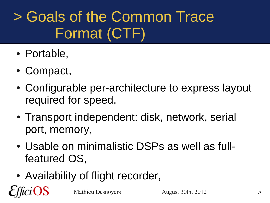# > Goals of the Common Trace Format (CTF)

- Portable,
- Compact,
- Configurable per-architecture to express layout required for speed,
- Transport independent: disk, network, serial port, memory,
- Usable on minimalistic DSPs as well as fullfeatured OS,
- Availability of flight recorder, OS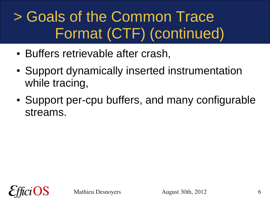# > Goals of the Common Trace Format (CTF) (continued)

- Buffers retrievable after crash,
- Support dynamically inserted instrumentation while tracing,
- Support per-cpu buffers, and many configurable streams.

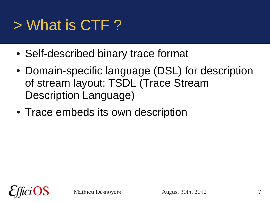# > What is CTF ?

- Self-described binary trace format
- Domain-specific language (DSL) for description of stream layout: TSDL (Trace Stream Description Language)
- Trace embeds its own description

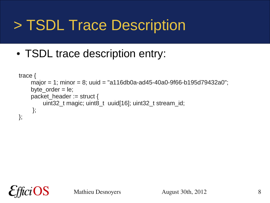# > TSDL Trace Description

• TSDL trace description entry:

```
trace {
    major = 1; minor = 8; uuid = "a116db0a-ad45-40a0-9f66-b195d79432a0";
    byte order = le;
    packet_header := struct {
         uint32 t magic; uint8 t uuid[16]; uint32 t stream id;
     };
};
```
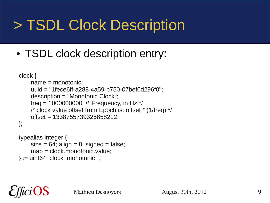# > TSDL Clock Description

• TSDL clock description entry:

```
clock {
    name = monotonic;
    uuid = "1fece6ff-a288-4a59-b750-07bef0d296f0";
    description = "Monotonic Clock";
    freq = 1000000000; /* Frequency, in Hz *//* clock value offset from Epoch is: offset * (1/freq) */
    offset = 1338755739325858212;
};
```

```
typealias integer {
    size = 64; align = 8; signed = false;
    map = clock.monotonic.value;
 := uint64 clock monotonic t;
```
iOS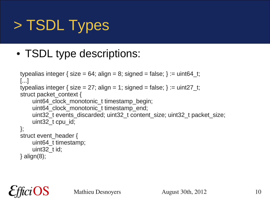# > TSDL Types

• TSDL type descriptions:

```
typealias integer { size = 64; align = 8; signed = false; } := uint64 t;
[...]
typealias integer { size = 27; align = 1; signed = false; } := uint27 t;
struct packet_context {
    uint64 clock monotonic_t timestamp_begin;
    uint64 clock monotonic t timestamp end;
    uint32 t events discarded; uint32 t content size; uint32 t packet size;
    uint32 t cpu id;
};
struct event header {
    uint64_t timestamp;
    uint32 t id;
} align(8);
```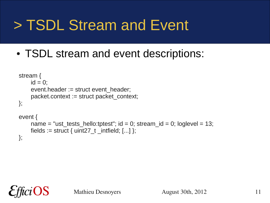# > TSDL Stream and Event

• TSDL stream and event descriptions:

```
stream {
    id = 0:
    event.header := struct event header;
    packet.context := struct packet context;
};
event {
    name = "ust_tests_hello:tptest"; id = 0; stream_id = 0; loglevel = 13;
    fields := struct { uint27_t _intfield; [...] };
};
```
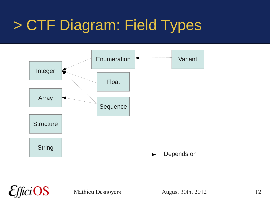# > CTF Diagram: Field Types



fici $\bf OS$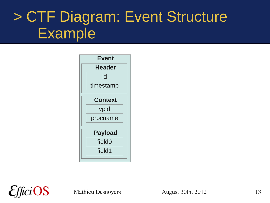## > CTF Diagram: Event Structure Example



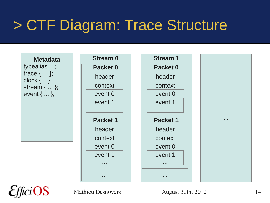## > CTF Diagram: Trace Structure



 $ci$ OS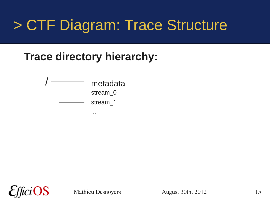### > CTF Diagram: Trace Structure

#### **Trace directory hierarchy:**



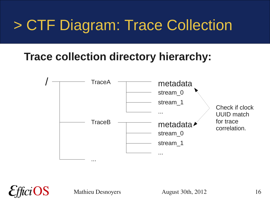# > CTF Diagram: Trace Collection

#### **Trace collection directory hierarchy:**

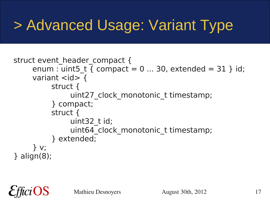# > Advanced Usage: Variant Type

```
struct event header compact {
     enum : uint5 t { compact = 0 ... 30, extended = 31 } id;
     variant \langleid\rangle {
           struct {
                uint27 clock monotonic t timestamp;
           } compact;
           struct {
                uint32 t id;
                uint64 clock monotonic t timestamp;
           } extended;
      } v;
} align(8);
```
OS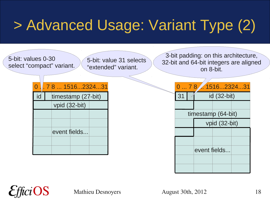# > Advanced Usage: Variant Type (2)

5-bit: values 0-30 select "compact" variant.

5-bit: value 31 selects "extended" variant.

3-bit padding: on this architecture, 32-bit and 64-bit integers are aligned on 8-bit.

|    | 0781516232431      |               |  |  |               |  |  | 0  7 8  15162324   |               |  |
|----|--------------------|---------------|--|--|---------------|--|--|--------------------|---------------|--|
| id | timestamp (27-bit) |               |  |  | $\mathsf{R}1$ |  |  | $id$ (32-bit)      |               |  |
|    |                    | vpid (32-bit) |  |  |               |  |  |                    |               |  |
|    |                    |               |  |  |               |  |  | timestamp (64-bit) |               |  |
|    |                    |               |  |  |               |  |  |                    | vpid (32-bit) |  |
|    |                    | event fields  |  |  |               |  |  |                    |               |  |
|    |                    |               |  |  |               |  |  |                    |               |  |
|    |                    |               |  |  |               |  |  | event fields       |               |  |

| 31 |     |              |                                                                   |
|----|-----|--------------|-------------------------------------------------------------------|
|    |     |              |                                                                   |
|    |     |              |                                                                   |
|    |     |              |                                                                   |
|    |     |              |                                                                   |
|    |     |              |                                                                   |
|    |     |              |                                                                   |
|    |     |              |                                                                   |
|    |     |              |                                                                   |
|    | 078 | event fields | 1516232431<br>$id(32-bit)$<br>timestamp (64-bit)<br>vpid (32-bit) |

 $iOS$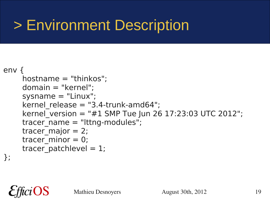# > Environment Description

#### env {

```
hostname = "thinkos";
 domain = "kernel";
systemane = "Linux";kernel release = "3.4-trunk-amd64";
kernel version = "#1 SMP Tue Jun 26 17:23:03 UTC 2012";
tracer name = "lttnq-modelles";tracer major = 2;
tracer minor = 0;
tracer patchlevel = 1;
```
};

 $ci$ OS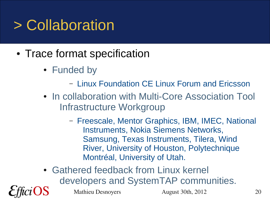# > Collaboration

- Trace format specification
	- Funded by
		- Linux Foundation CE Linux Forum and Ericsson
	- In collaboration with Multi-Core Association Tool Infrastructure Workgroup
		- Freescale, Mentor Graphics, IBM, IMEC, National Instruments, Nokia Siemens Networks, Samsung, Texas Instruments, Tilera, Wind River, University of Houston, Polytechnique Montréal, University of Utah.
	- Gathered feedback from Linux kernel developers and SystemTAP communities.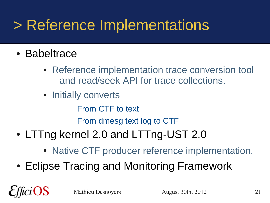# > Reference Implementations

- Babeltrace
	- Reference implementation trace conversion tool and read/seek API for trace collections.
	- Initially converts
		- From CTF to text
		- From dmesg text log to CTF
- LTTng kernel 2.0 and LTTng-UST 2.0
	- Native CTF producer reference implementation.
- Eclipse Tracing and Monitoring Framework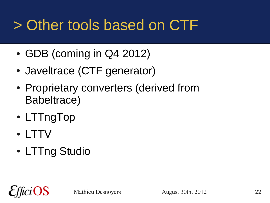# > Other tools based on CTF

- $\cdot$  GDB (coming in Q4 2012)
- Javeltrace (CTF generator)
- Proprietary converters (derived from Babeltrace)
- LTTngTop
- LTTV
- LTTng Studio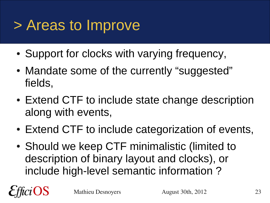### > Areas to Improve

- Support for clocks with varying frequency,
- Mandate some of the currently "suggested" fields,
- Extend CTF to include state change description along with events,
- Extend CTF to include categorization of events,
- Should we keep CTF minimalistic (limited to description of binary layout and clocks), or include high-level semantic information ?